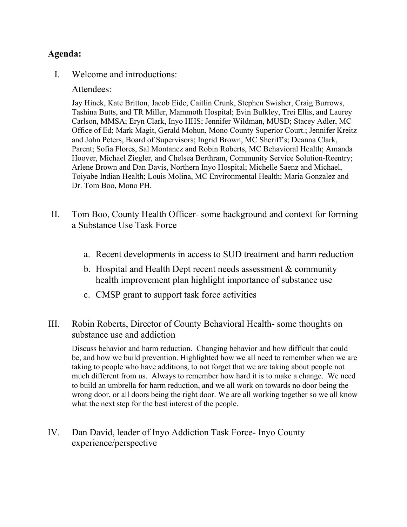## **Agenda:**

I. Welcome and introductions:

Attendees:

Jay Hinek, Kate Britton, Jacob Eide, Caitlin Crunk, Stephen Swisher, Craig Burrows, Tashina Butts, and TR Miller, Mammoth Hospital; Evin Bulkley, Trei Ellis, and Laurey Carlson, MMSA; Eryn Clark, Inyo HHS; Jennifer Wildman, MUSD; Stacey Adler, MC Office of Ed; Mark Magit, Gerald Mohun, Mono County Superior Court.; Jennifer Kreitz and John Peters, Board of Supervisors; Ingrid Brown, MC Sheriff's; Deanna Clark, Parent; Sofia Flores, Sal Montanez and Robin Roberts, MC Behavioral Health; Amanda Hoover, Michael Ziegler, and Chelsea Berthram, Community Service Solution-Reentry; Arlene Brown and Dan Davis, Northern Inyo Hospital; Michelle Saenz and Michael, Toiyabe Indian Health; Louis Molina, MC Environmental Health; Maria Gonzalez and Dr. Tom Boo, Mono PH.

- II. Tom Boo, County Health Officer- some background and context for forming a Substance Use Task Force
	- a. Recent developments in access to SUD treatment and harm reduction
	- b. Hospital and Health Dept recent needs assessment & community health improvement plan highlight importance of substance use
	- c. CMSP grant to support task force activities
- III. Robin Roberts, Director of County Behavioral Health- some thoughts on substance use and addiction

Discuss behavior and harm reduction. Changing behavior and how difficult that could be, and how we build prevention. Highlighted how we all need to remember when we are taking to people who have additions, to not forget that we are taking about people not much different from us. Always to remember how hard it is to make a change. We need to build an umbrella for harm reduction, and we all work on towards no door being the wrong door, or all doors being the right door. We are all working together so we all know what the next step for the best interest of the people.

IV. Dan David, leader of Inyo Addiction Task Force- Inyo County experience/perspective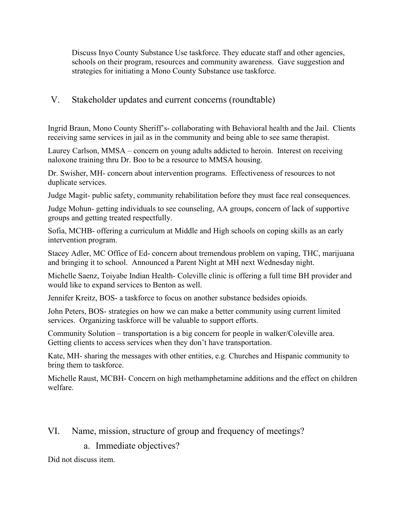Discuss Inyo County Substance Use taskforce. They educate staff and other agencies, schools on their program, resources and community awareness. Gave suggestion and strategies for initiating a Mono County Substance use taskforce.

## V. Stakeholder updates and current concerns (roundtable)

Ingrid Braun, Mono County Sheriff's- collaborating with Behavioral health and the Jail. Clients receiving same services in jail as in the community and being able to see same therapist.

Laurey Carlson, MMSA – concern on young adults addicted to heroin. Interest on receiving naloxone training thru Dr. Boo to be a resource to MMSA housing.

Dr. Swisher, MH- concern about intervention programs. Effectiveness of resources to not duplicate services.

Judge Magit- public safety, community rehabilitation before they must face real consequences.

Judge Mohun- getting individuals to see counseling, AA groups, concern of lack of supportive groups and getting treated respectfully.

Sofia, MCHB- offering a curriculum at Middle and High schools on coping skills as an early intervention program.

Stacey Adler, MC Office of Ed- concern about tremendous problem on vaping, THC, marijuana and bringing it to school. Announced a Parent Night at MH next Wednesday night.

Michelle Saenz, Toiyabe Indian Health- Coleville clinic is offering a full time BH provider and would like to expand services to Benton as well.

Jennifer Kreitz, BOS- a taskforce to focus on another substance bedsides opioids.

John Peters, BOS- strategies on how we can make a better community using current limited services. Organizing taskforce will be valuable to support efforts.

Community Solution – transportation is a big concern for people in walker/Coleville area. Getting clients to access services when they don't have transportation.

Kate, MH- sharing the messages with other entities, e.g. Churches and Hispanic community to bring them to taskforce.

Michelle Raust, MCBH- Concern on high methamphetamine additions and the effect on children welfare.

VI. Name, mission, structure of group and frequency of meetings?

a. Immediate objectives?

Did not discuss item.